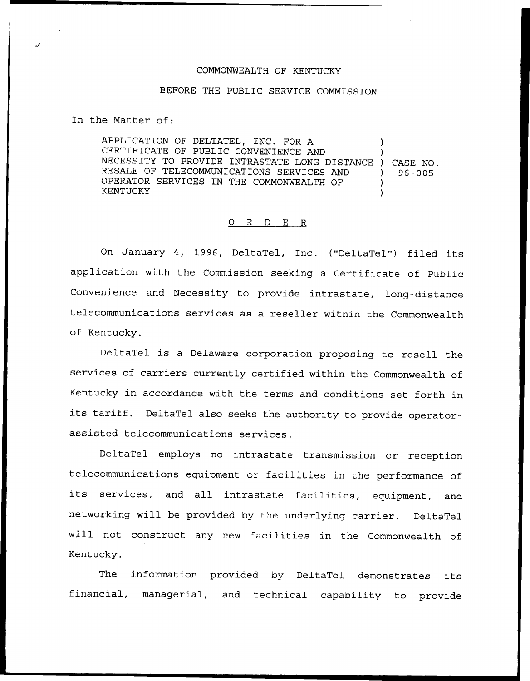## COMMONWEALTH OF KENTUCKY

## BEFORE THE PUBLIC SERVICE COMMISSION

In the Matter of:

APPLICATION OF DELTATEL, INC, FOR A CERTIFICATE OF PUBLIC CONVENIENCE AND CERTIFICATE OF FOBILE CONVENIENCE AND<br>NECESSITY TO PROVIDE INTRASTATE LONG DISTANCE ) CASE NO. RESALE OF TELECOMMUNICATIONS SERVICES AND OPERATOR SERVICES IN THE COMMONWEALTH OF KENTUCKY )  $96 - 005$ ) )

## 0 R <sup>D</sup> E R

On January 4, 1996, DeltaTel, Inc. ("DeltaTel") filed its application with the Commission seeking a Certificate of Public Convenience and Necessity to provide intrastate, long-distance telecommunications services as a reseller within the Commonwealth of Kentucky.

DeltaTel is <sup>a</sup> Delaware corporation proposing to resell the services of carriers currently certified within the Commonwealth of Kentucky in accordance with the terms and conditions set forth in its tariff. DeltaTel also seeks the authority to provide operatorassisted telecommunications services.

DeltaTel employs no intrastate transmission or reception telecommunications equipment or facilities in the performance of its services, and all intrastate facilities, equipment, and networking will be provided by the underlying carrier. DeltaTel will not construct any new facilities in the Commonwealth of Kentucky.

The information provided by DeltaTel demonstrates its financial, managerial, and technical capability to provide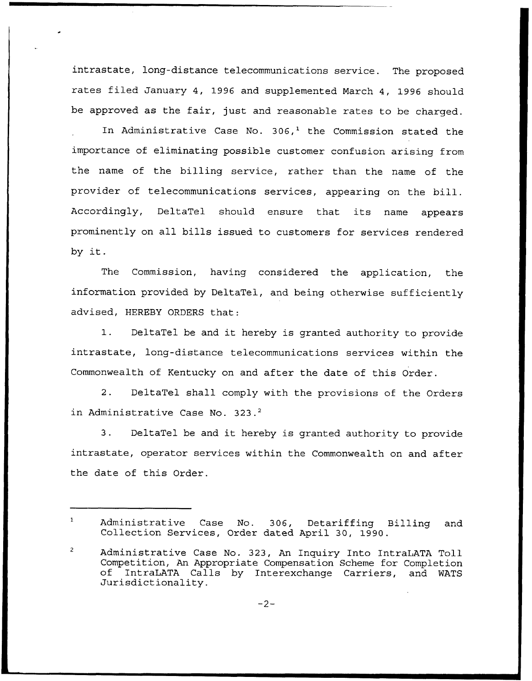intrastate, long-distance telecommunications service. The proposed rates filed January 4, 1996 and supplemented March 4, 1996 should be approved as the fair, just and reasonable rates to be charged.

In Administrative Case No.  $306<sup>1</sup>$  the Commission stated the importance of eliminating possible customer confusion arising from the name of the billing service, rather than the name of the provider of telecommunications services, appearing on the bill. Accordingly, DeltaTel should ensure that its name appears prominently on all bills issued to customers for services rendered by it.

The Commission, having considered the application, the information provided by DeltaTel, and being otherwise sufficiently advised, HEREBY ORDERS that:

1. DeltaTel be and it hereby is granted authority to provide intrastate, long-distance telecommunications services within the Commonwealth of Kentucky on and after the date of this Order.

2. DeltaTel shall comply with the provisions of the Orders in Administrative Case No. 323.<sup>2</sup>

DeltaTel be and it hereby is granted authority to provide  $3.$ intrastate, operator services within the Commonwealth on and after the date of this Order.

Administrative Case No. 306, Detariffing Billing and Collection Services, Order dated April 30, 1990.

Administrative Case No. 323, An Inquiry Into IntraLATA Toll Competition, An Appropriate Compensation Scheme for Completion of IntraLATA Calls by Interexchange Carriers, and WATS Jurisdictionality.